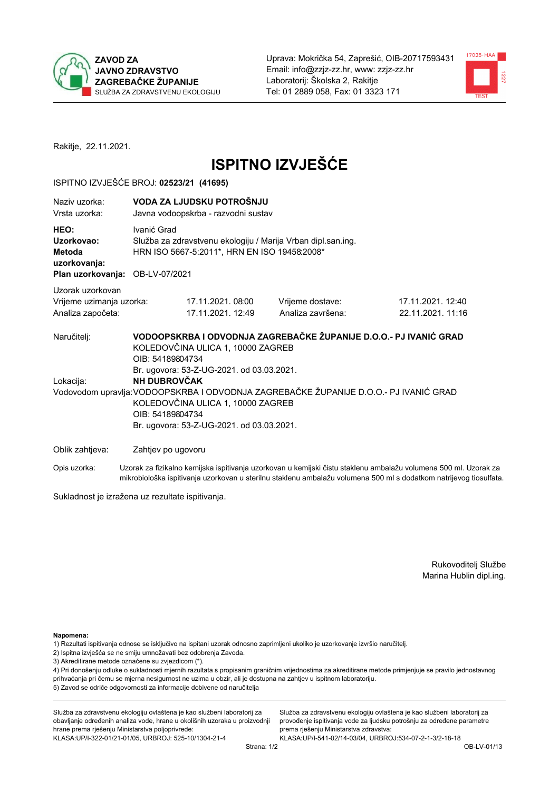



Rakitje, 22.11.2021.

# **ISPITNO IZVJEŠĆE**

#### ISPITNO IZVJEŠĆE BROJ: 02523/21 (41695)

| Naziv uzorka:<br>Vrsta uzorka:                                                  |                                                      | VODA ZA LJUDSKU POTROŠNJU<br>Javna vodoopskrba - razvodni sustav                                                                                                 |                                                                                                                                                            |                                                                                                                  |  |  |  |
|---------------------------------------------------------------------------------|------------------------------------------------------|------------------------------------------------------------------------------------------------------------------------------------------------------------------|------------------------------------------------------------------------------------------------------------------------------------------------------------|------------------------------------------------------------------------------------------------------------------|--|--|--|
| HEO:<br>Uzorkovao:<br>Metoda<br>uzorkovanja:<br>Plan uzorkovanja: OB-LV-07/2021 | Ivanić Grad                                          | Služba za zdravstvenu ekologiju / Marija Vrban dipl.san.ing.<br>HRN ISO 5667-5:2011*, HRN EN ISO 19458:2008*                                                     |                                                                                                                                                            |                                                                                                                  |  |  |  |
|                                                                                 |                                                      |                                                                                                                                                                  |                                                                                                                                                            |                                                                                                                  |  |  |  |
| Uzorak uzorkovan<br>Vrijeme uzimanja uzorka:<br>Analiza započeta:               |                                                      | 17.11.2021.08:00<br>17.11.2021. 12:49                                                                                                                            | Vrijeme dostave:<br>Analiza završena:                                                                                                                      | 17.11.2021. 12:40<br>22.11.2021. 11:16                                                                           |  |  |  |
| Naručitelj:<br>Lokacija:                                                        | OIB: 54189804734<br>NH DUBROVČAK<br>OIB: 54189804734 | KOLEDOVČINA ULICA 1, 10000 ZAGREB<br>Br. ugovora: 53-Z-UG-2021. od 03.03.2021.<br>KOLEDOVČINA ULICA 1, 10000 ZAGREB<br>Br. ugovora: 53-Z-UG-2021. od 03.03.2021. | VODOOPSKRBA I ODVODNJA ZAGREBAČKE ŽUPANIJE D.O.O.- PJ IVANIĆ GRAD<br>Vodovodom upravlja: VODOOPSKRBA I ODVODNJA ZAGREBAČKE ŽUPANIJE D.O.O.- PJ IVANIĆ GRAD |                                                                                                                  |  |  |  |
| Oblik zahtjeva:                                                                 | Zahtjev po ugovoru                                   |                                                                                                                                                                  |                                                                                                                                                            |                                                                                                                  |  |  |  |
| Opis uzorka:                                                                    |                                                      |                                                                                                                                                                  |                                                                                                                                                            | Uzorak za fizikalno kemijska ispitivanja uzorkovan u kemijski čistu staklenu ambalažu volumena 500 ml. Uzorak za |  |  |  |

mikrobiološka ispitivanja uzorkovan u sterilnu staklenu ambalažu volumena 500 ml s dodatkom natrijevog tiosulfata.

Sukladnost je izražena uz rezultate ispitivanja.

Rukovoditelj Službe Marina Hublin dipl.ing.

Napomena:

- 1) Rezultati ispitivanja odnose se isključivo na ispitani uzorak odnosno zaprimljeni ukoliko je uzorkovanje izvršio naručitelj.
- 2) Ispitna izvješća se ne smiju umnožavati bez odobrenja Zavoda.
- 3) Akreditirane metode označene su zvjezdicom (\*).

4) Pri donošenju odluke o sukladnosti mjernih razultata s propisanim graničnim vrijednostima za akreditirane metode primjenjuje se pravilo jednostavnog prihvaćanja pri čemu se mjerna nesigurnost ne uzima u obzir, ali je dostupna na zahtjev u ispitnom laboratoriju. 5) Zavod se odriče odgovornosti za informacije dobivene od naručitelja

Služba za zdravstvenu ekologiju ovlaštena je kao službeni laboratorij za obavljanje određenih analiza vode, hrane u okolišnih uzoraka u proizvodnji hrane prema rješenju Ministarstva poljoprivrede: KLASA.UP/I-322-01/21-01/05, URBROJ: 525-10/1304-21-4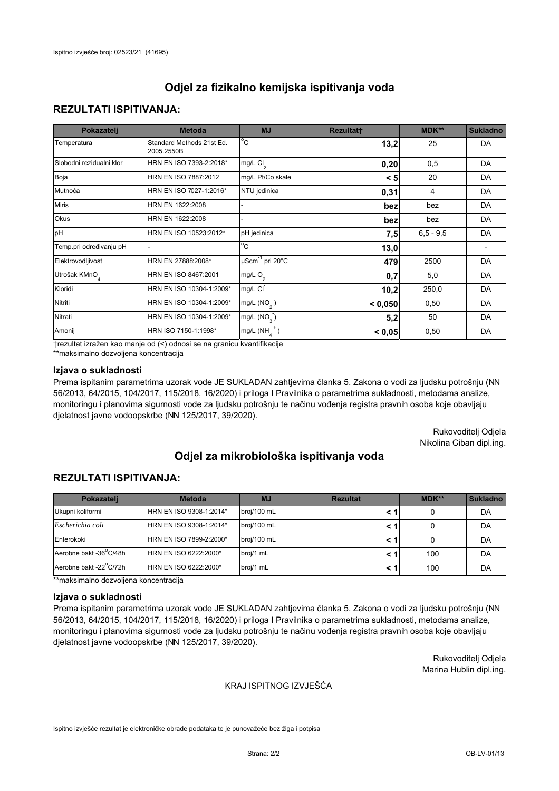## **REZULTATI ISPITIVANJA:**

| Pokazatelj                | <b>Metoda</b>                           | <b>MJ</b>                                | <b>Rezultatt</b> | <b>MDK**</b> | <b>Sukladno</b> |
|---------------------------|-----------------------------------------|------------------------------------------|------------------|--------------|-----------------|
| Temperatura               | Standard Methods 21st Ed.<br>2005.2550B | $\overline{C}$                           | 13,2             | 25           | DA              |
| Slobodni rezidualni klor  | HRN EN ISO 7393-2:2018*                 | $\overline{\text{mg/L}}$ Cl <sub>2</sub> | 0,20             | 0,5          | DA              |
| Boja                      | HRN EN ISO 7887:2012                    | mg/L Pt/Co skale                         | < 5              | 20           | DA              |
| Mutnoća                   | HRN EN ISO 7027-1:2016*                 | NTU jedinica                             | 0,31             | 4            | DA              |
| <b>Miris</b>              | HRN EN 1622:2008                        |                                          | bez              | bez          | DA              |
| Okus                      | HRN EN 1622:2008                        |                                          | bez              | bez          | DA              |
| pH                        | HRN EN ISO 10523:2012*                  | pH jedinica                              | 7,5              | $6.5 - 9.5$  | DA              |
| Temp.pri određivanju pH   |                                         | $\overline{c}$                           | 13,0             |              |                 |
| Elektrovodljivost         | HRN EN 27888:2008*                      | $\mu$ Scm <sup>-1</sup> pri 20°C         | 479              | 2500         | DA              |
| Utrošak KMnO <sub>4</sub> | HRN EN ISO 8467:2001                    | mg/L $O_2$                               | 0,7              | 5,0          | DA              |
| Kloridi                   | HRN EN ISO 10304-1:2009*                | mg/L CI                                  | 10,2             | 250,0        | DA              |
| Nitriti                   | HRN EN ISO 10304-1:2009*                | mg/L $(NO2)$                             | < 0,050          | 0,50         | DA              |
| Nitrati                   | HRN EN ISO 10304-1:2009*                | mg/L $(NO3)$                             | 5,2              | 50           | DA              |
| Amonij                    | HRN ISO 7150-1:1998*                    | mg/L $(NH_{\lambda}^{\dagger})$          | < 0,05           | 0,50         | DA              |

trezultat izražen kao manje od (<) odnosi se na granicu kvantifikacije

\*\*maksimalno dozvoljena koncentracija

## Izjava o sukladnosti

Prema ispitanim parametrima uzorak vode JE SUKLADAN zahtjevima članka 5. Zakona o vodi za ljudsku potrošnju (NN 56/2013, 64/2015, 104/2017, 115/2018, 16/2020) i priloga I Pravilnika o parametrima sukladnosti, metodama analize, monitoringu i planovima sigurnosti vode za ljudsku potrošnju te načinu vođenja registra pravnih osoba koje obavljaju djelatnost javne vodoopskrbe (NN 125/2017, 39/2020).

> Rukovoditelj Odjela Nikolina Ciban dipl.ing.

# Odjel za mikrobiološka ispitivanja voda

## **REZULTATI ISPITIVANJA:**

| Pokazatelj             | <b>Metoda</b>           | <b>MJ</b>   | <b>Rezultat</b> | MDK** | <b>Sukladno</b> |
|------------------------|-------------------------|-------------|-----------------|-------|-----------------|
| Ukupni koliformi       | HRN EN ISO 9308-1:2014* | broj/100 mL |                 |       | DA              |
| Escherichia coli       | HRN EN ISO 9308-1:2014* | broj/100 mL |                 |       | DA              |
| Enterokoki             | HRN EN ISO 7899-2:2000* | broj/100 mL |                 |       | DA              |
| Aerobne bakt -36°C/48h | HRN EN ISO 6222:2000*   | broj/1 mL   |                 | 100   | DA              |
| Aerobne bakt -22°C/72h | HRN EN ISO 6222:2000*   | broj/1 mL   |                 | 100   | DA              |

\*\*maksimalno dozvoljena koncentracija

#### Izjava o sukladnosti

Prema ispitanim parametrima uzorak vode JE SUKLADAN zahtjevima članka 5. Zakona o vodi za ljudsku potrošnju (NN 56/2013, 64/2015, 104/2017, 115/2018, 16/2020) i priloga I Pravilnika o parametrima sukladnosti, metodama analize, monitoringu i planovima sigurnosti vode za ljudsku potrošnju te načinu vođenja registra pravnih osoba koje obavljaju djelatnost javne vodoopskrbe (NN 125/2017, 39/2020).

> Rukovoditelj Odjela Marina Hublin dipl.ing.

#### KRAJ ISPITNOG IZVJEŠĆA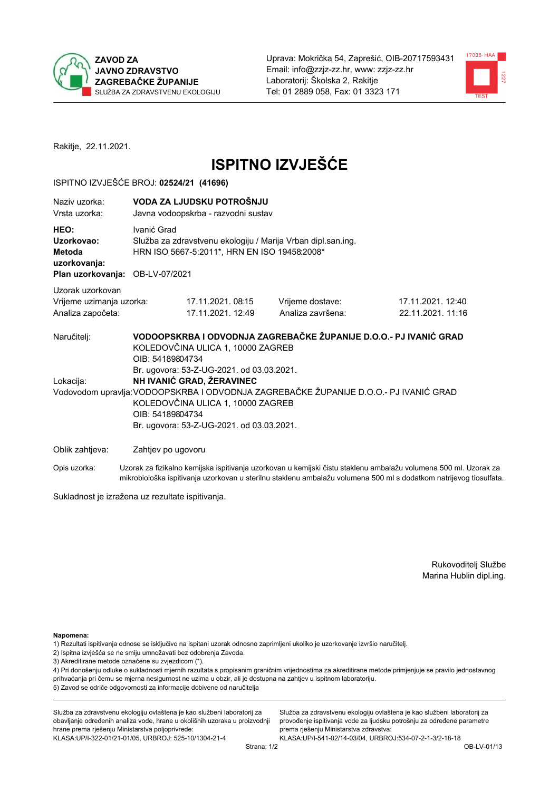



Rakitje, 22.11.2021.

# **ISPITNO IZVJEŠĆE**

#### ISPITNO IZVJEŠĆE BROJ: 02524/21 (41696)

| Naziy uzorka:<br>Vrsta uzorka:                                                  |                                      | VODA ZA LJUDSKU POTROŠNJU<br>Javna vodoopskrba - razvodni sustav                                                                                                                              |                                                                                                                                                            |                                        |  |  |
|---------------------------------------------------------------------------------|--------------------------------------|-----------------------------------------------------------------------------------------------------------------------------------------------------------------------------------------------|------------------------------------------------------------------------------------------------------------------------------------------------------------|----------------------------------------|--|--|
| HEO:<br>Uzorkovao:<br>Metoda<br>uzorkovanja:<br>Plan uzorkovanja: OB-LV-07/2021 | Ivanić Grad                          | Služba za zdravstvenu ekologiju / Marija Vrban dipl.san.ing.<br>HRN ISO 5667-5:2011*, HRN EN ISO 19458:2008*                                                                                  |                                                                                                                                                            |                                        |  |  |
| Uzorak uzorkovan<br>Vrijeme uzimanja uzorka:<br>Analiza započeta:               |                                      | 17.11.2021.08:15<br>17.11.2021. 12:49                                                                                                                                                         | Vrijeme dostave:<br>Analiza završena:                                                                                                                      | 17.11.2021. 12:40<br>22.11.2021. 11:16 |  |  |
| Naručitelj:<br>Lokacija:                                                        | OIB: 54189804734<br>OIB: 54189804734 | KOLEDOVČINA ULICA 1, 10000 ZAGREB<br>Br. ugovora: 53-Z-UG-2021. od 03.03.2021.<br>NH IVANIĆ GRAD, ŽERAVINEC<br>KOLEDOVČINA ULICA 1, 10000 ZAGREB<br>Br. ugovora: 53-Z-UG-2021. od 03.03.2021. | VODOOPSKRBA I ODVODNJA ZAGREBAČKE ŽUPANIJE D.O.O.- PJ IVANIĆ GRAD<br>Vodovodom upravlja: VODOOPSKRBA I ODVODNJA ZAGREBAČKE ŽUPANIJE D.O.O.- PJ IVANIĆ GRAD |                                        |  |  |
| Oblik zahtjeva:                                                                 | Zahtjev po ugovoru                   |                                                                                                                                                                                               |                                                                                                                                                            |                                        |  |  |

Opis uzorka: Uzorak za fizikalno kemijska ispitivanja uzorkovan u kemijski čistu staklenu ambalažu volumena 500 ml. Uzorak za mikrobiološka ispitivanja uzorkovan u sterilnu staklenu ambalažu volumena 500 ml s dodatkom natrijevog tiosulfata.

Sukladnost je izražena uz rezultate ispitivanja.

Rukovoditelj Službe Marina Hublin dipl.ing.

Napomena:

- 1) Rezultati ispitivanja odnose se isključivo na ispitani uzorak odnosno zaprimljeni ukoliko je uzorkovanje izvršio naručitelj.
- 2) Ispitna izvješća se ne smiju umnožavati bez odobrenja Zavoda.
- 3) Akreditirane metode označene su zvjezdicom (\*).

4) Pri donošenju odluke o sukladnosti mjernih razultata s propisanim graničnim vrijednostima za akreditirane metode primjenjuje se pravilo jednostavnog prihvaćanja pri čemu se mjerna nesigurnost ne uzima u obzir, ali je dostupna na zahtjev u ispitnom laboratoriju. 5) Zavod se odriče odgovornosti za informacije dobivene od naručitelja

Služba za zdravstvenu ekologiju ovlaštena je kao službeni laboratorij za obavljanje određenih analiza vode, hrane u okolišnih uzoraka u proizvodnji hrane prema rješenju Ministarstva poljoprivrede: KLASA.UP/I-322-01/21-01/05, URBROJ: 525-10/1304-21-4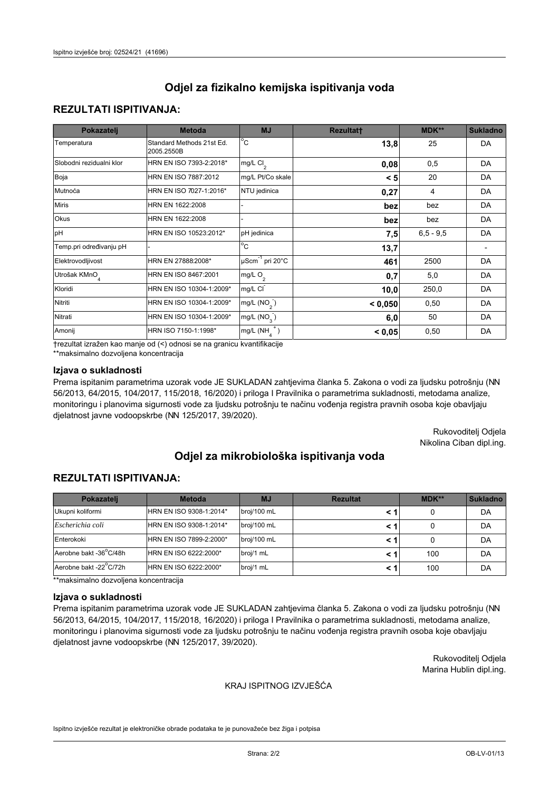## **REZULTATI ISPITIVANJA:**

| Pokazatelj                | <b>Metoda</b>                           | <b>MJ</b>                        | <b>Rezultatt</b> | MDK**       | <b>Sukladno</b> |
|---------------------------|-----------------------------------------|----------------------------------|------------------|-------------|-----------------|
| Temperatura               | Standard Methods 21st Ed.<br>2005.2550B | $^{\circ}$ C                     | 13,8             | 25          | DA              |
| Slobodni rezidualni klor  | HRN EN ISO 7393-2:2018*                 | mg/L $Cl2$                       | 0,08             | 0,5         | DA              |
| Boja                      | HRN EN ISO 7887:2012                    | mg/L Pt/Co skale                 | < 5              | 20          | DA              |
| Mutnoća                   | HRN EN ISO 7027-1:2016*                 | NTU jedinica                     | 0,27             | 4           | DA              |
| <b>Miris</b>              | HRN EN 1622:2008                        |                                  | bez              | bez         | DA              |
| Okus                      | HRN EN 1622:2008                        |                                  | bez              | bez         | DA              |
| pH                        | HRN EN ISO 10523:2012*                  | pH jedinica                      | 7,5              | $6,5 - 9,5$ | DA              |
| Temp.pri određivanju pH   |                                         | $\overline{c}$                   | 13,7             |             |                 |
| Elektrovodljivost         | HRN EN 27888:2008*                      | $\mu$ Scm <sup>-1</sup> pri 20°C | 461              | 2500        | DA              |
| Utrošak KMnO <sub>4</sub> | HRN EN ISO 8467:2001                    | mg/L O <sub>2</sub>              | 0,7              | 5,0         | DA              |
| Kloridi                   | HRN EN ISO 10304-1:2009*                | mg/L CI                          | 10,0             | 250,0       | DA              |
| Nitriti                   | HRN EN ISO 10304-1:2009*                | mg/L $(NO2)$                     | < 0,050          | 0,50        | DA              |
| Nitrati                   | HRN EN ISO 10304-1:2009*                | mg/L (NO <sub>3</sub> )          | 6,0              | 50          | DA              |
| Amonij                    | HRN ISO 7150-1:1998*                    | $mg/L(NH_A^+)$                   | < 0,05           | 0,50        | DA              |

trezultat izražen kao manje od (<) odnosi se na granicu kvantifikacije

\*\*maksimalno dozvoljena koncentracija

## Izjava o sukladnosti

Prema ispitanim parametrima uzorak vode JE SUKLADAN zahtjevima članka 5. Zakona o vodi za ljudsku potrošnju (NN 56/2013, 64/2015, 104/2017, 115/2018, 16/2020) i priloga I Pravilnika o parametrima sukladnosti, metodama analize, monitoringu i planovima sigurnosti vode za ljudsku potrošnju te načinu vođenja registra pravnih osoba koje obavljaju djelatnost javne vodoopskrbe (NN 125/2017, 39/2020).

> Rukovoditelj Odjela Nikolina Ciban dipl.ing.

# Odjel za mikrobiološka ispitivanja voda

## **REZULTATI ISPITIVANJA:**

| Pokazateli             | <b>Metoda</b>           | <b>MJ</b>   | <b>Rezultat</b> | MDK** | <b>Sukladno</b> |
|------------------------|-------------------------|-------------|-----------------|-------|-----------------|
| Ukupni koliformi       | HRN EN ISO 9308-1:2014* | broj/100 mL |                 |       | DA              |
| Escherichia coli       | HRN EN ISO 9308-1:2014* | broj/100 mL |                 |       | DA              |
| Enterokoki             | HRN EN ISO 7899-2:2000* | broj/100 mL |                 |       | DA              |
| Aerobne bakt -36°C/48h | HRN EN ISO 6222:2000*   | broj/1 mL   |                 | 100   | DA              |
| Aerobne bakt -22°C/72h | HRN EN ISO 6222:2000*   | broj/1 mL   |                 | 100   | DA              |

\*\*maksimalno dozvoljena koncentracija

#### Izjava o sukladnosti

Prema ispitanim parametrima uzorak vode JE SUKLADAN zahtjevima članka 5. Zakona o vodi za ljudsku potrošnju (NN 56/2013, 64/2015, 104/2017, 115/2018, 16/2020) i priloga I Pravilnika o parametrima sukladnosti, metodama analize, monitoringu i planovima sigurnosti vode za ljudsku potrošnju te načinu vođenja registra pravnih osoba koje obavljaju djelatnost javne vodoopskrbe (NN 125/2017, 39/2020).

> Rukovoditelj Odjela Marina Hublin dipl.ing.

#### KRAJ ISPITNOG IZVJEŠĆA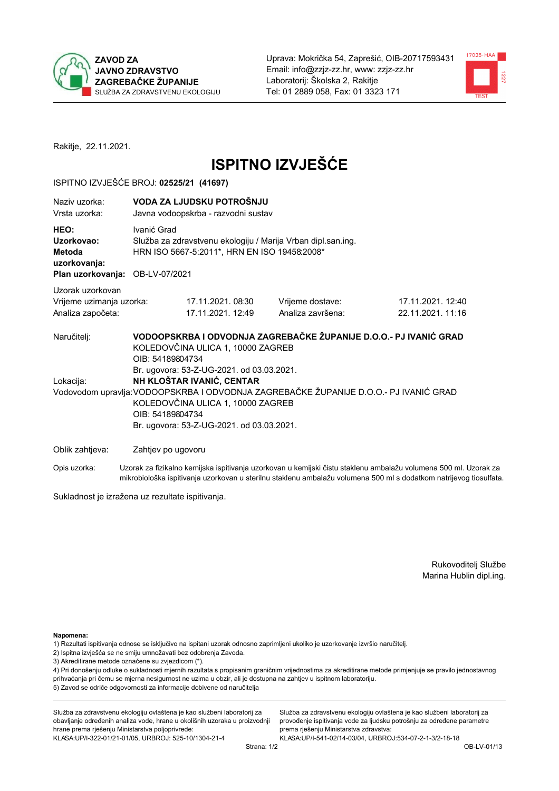



Rakitje, 22.11.2021.

# **ISPITNO IZVJEŠĆE**

### ISPITNO IZVJEŠĆE BROJ: 02525/21 (41697)

| Naziy uzorka:<br>Vrsta uzorka:                                                  | VODA ZA LJUDSKU POTROŠNJU<br>Javna vodoopskrba - razvodni sustav                                                                                                                                                                      |                                                                                                                                                            |                                                                                                                  |  |  |
|---------------------------------------------------------------------------------|---------------------------------------------------------------------------------------------------------------------------------------------------------------------------------------------------------------------------------------|------------------------------------------------------------------------------------------------------------------------------------------------------------|------------------------------------------------------------------------------------------------------------------|--|--|
| HEO:<br>Uzorkovao:<br>Metoda<br>uzorkovanja:<br>Plan uzorkovanja: OB-LV-07/2021 | Ivanić Grad<br>Služba za zdravstvenu ekologiju / Marija Vrban dipl.san.ing.<br>HRN ISO 5667-5:2011*, HRN EN ISO 19458:2008*                                                                                                           |                                                                                                                                                            |                                                                                                                  |  |  |
| Uzorak uzorkovan                                                                |                                                                                                                                                                                                                                       |                                                                                                                                                            |                                                                                                                  |  |  |
| Vrijeme uzimanja uzorka:                                                        | 17.11.2021.08:30                                                                                                                                                                                                                      | Vrijeme dostave:                                                                                                                                           | 17.11.2021. 12:40                                                                                                |  |  |
| Analiza započeta:                                                               | 17.11.2021. 12:49                                                                                                                                                                                                                     | Analiza završena:                                                                                                                                          | 22.11.2021.11:16                                                                                                 |  |  |
| Naručitelj:<br>Lokacija:                                                        | KOLEDOVČINA ULICA 1, 10000 ZAGREB<br>OIB: 54189804734<br>Br. ugovora: 53-Z-UG-2021. od 03.03.2021.<br>NH KLOŠTAR IVANIĆ, CENTAR<br>KOLEDOVČINA ULICA 1, 10000 ZAGREB<br>OIB: 54189804734<br>Br. ugovora: 53-Z-UG-2021. od 03.03.2021. | VODOOPSKRBA I ODVODNJA ZAGREBAČKE ŽUPANIJE D.O.O.- PJ IVANIĆ GRAD<br>Vodovodom upravlja: VODOOPSKRBA I ODVODNJA ZAGREBAČKE ŽUPANIJE D.O.O.- PJ IVANIĆ GRAD |                                                                                                                  |  |  |
| Oblik zahtjeva:                                                                 | Zahtjev po ugovoru                                                                                                                                                                                                                    |                                                                                                                                                            |                                                                                                                  |  |  |
| Opis uzorka:                                                                    |                                                                                                                                                                                                                                       |                                                                                                                                                            | Uzorak za fizikalno kemijska ispitivanja uzorkovan u kemijski čistu staklenu ambalažu volumena 500 ml. Uzorak za |  |  |

mikrobiološka ispitivanja uzorkovan u sterilnu staklenu ambalažu volumena 500 ml s dodatkom natrijevog tiosulfata.

Sukladnost je izražena uz rezultate ispitivanja.

Rukovoditelj Službe Marina Hublin dipl.ing.

Napomena:

- 1) Rezultati ispitivanja odnose se isključivo na ispitani uzorak odnosno zaprimljeni ukoliko je uzorkovanje izvršio naručitelj.
- 2) Ispitna izvješća se ne smiju umnožavati bez odobrenja Zavoda.
- 3) Akreditirane metode označene su zvjezdicom (\*).

4) Pri donošenju odluke o sukladnosti mjernih razultata s propisanim graničnim vrijednostima za akreditirane metode primjenjuje se pravilo jednostavnog prihvaćanja pri čemu se mjerna nesigurnost ne uzima u obzir, ali je dostupna na zahtjev u ispitnom laboratoriju. 5) Zavod se odriče odgovornosti za informacije dobivene od naručitelja

Služba za zdravstvenu ekologiju ovlaštena je kao službeni laboratorij za obavljanje određenih analiza vode, hrane u okolišnih uzoraka u proizvodnji hrane prema rješenju Ministarstva poljoprivrede: KLASA: UP/I-322-01/21-01/05, URBROJ: 525-10/1304-21-4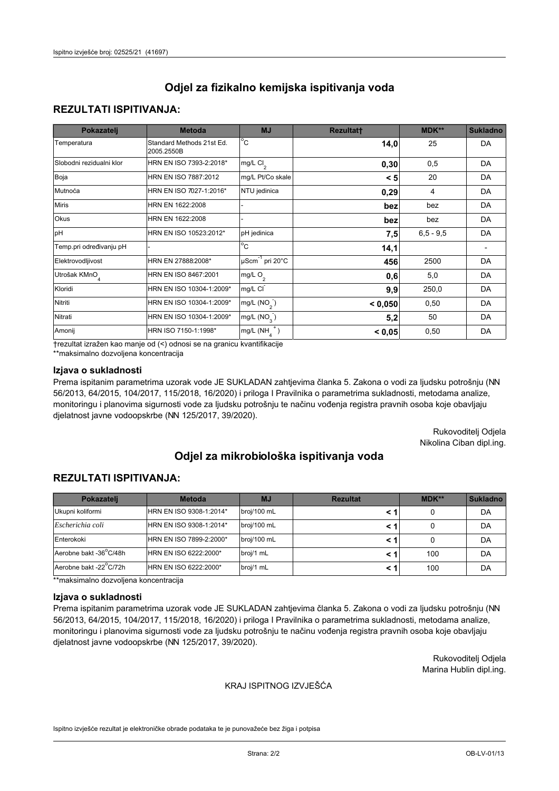## **REZULTATI ISPITIVANJA:**

| Pokazatelj                | <b>Metoda</b>                           | <b>MJ</b>                                   | <b>Rezultatt</b> | <b>MDK**</b> | <b>Sukladno</b> |
|---------------------------|-----------------------------------------|---------------------------------------------|------------------|--------------|-----------------|
| Temperatura               | Standard Methods 21st Ed.<br>2005.2550B | $^{\circ}$ C                                | 14,0             | 25           | DA              |
| Slobodni rezidualni klor  | HRN EN ISO 7393-2:2018*                 | $mg/L$ Cl <sub>2</sub>                      | 0,30             | 0,5          | DA              |
| Boja                      | HRN EN ISO 7887:2012                    | mg/L Pt/Co skale                            | < 5              | 20           | DA              |
| Mutnoća                   | HRN EN ISO 7027-1:2016*                 | NTU jedinica                                | 0,29             | 4            | DA              |
| <b>Miris</b>              | HRN EN 1622:2008                        |                                             | bez              | bez          | DA              |
| Okus                      | HRN EN 1622:2008                        |                                             | bez              | bez          | DA              |
| pH                        | HRN EN ISO 10523:2012*                  | pH jedinica                                 | 7,5              | $6.5 - 9.5$  | DA              |
| Temp.pri određivanju pH   |                                         | $\rm ^{\circ}c$                             | 14,1             |              |                 |
| Elektrovodljivost         | HRN EN 27888:2008*                      | $\overline{\mu}$ Scm <sup>-1</sup> pri 20°C | 456              | 2500         | DA              |
| Utrošak KMnO <sub>4</sub> | HRN EN ISO 8467:2001                    | mg/L $O_2$                                  | 0,6              | 5,0          | DA              |
| Kloridi                   | HRN EN ISO 10304-1:2009*                | mg/L CI                                     | 9,9              | 250,0        | DA              |
| Nitriti                   | HRN EN ISO 10304-1:2009*                | mg/L (NO <sub>2</sub> )                     | < 0.050          | 0,50         | DA              |
| Nitrati                   | HRN EN ISO 10304-1:2009*                | mg/L $(NO_{3})$                             | 5,2              | 50           | DA              |
| Amonij                    | HRN ISO 7150-1:1998*                    | mg/L $(NH_A^+)$                             | < 0,05           | 0,50         | DA              |

trezultat izražen kao manje od (<) odnosi se na granicu kvantifikacije

\*\*maksimalno dozvoljena koncentracija

## Izjava o sukladnosti

Prema ispitanim parametrima uzorak vode JE SUKLADAN zahtjevima članka 5. Zakona o vodi za ljudsku potrošnju (NN 56/2013, 64/2015, 104/2017, 115/2018, 16/2020) i priloga I Pravilnika o parametrima sukladnosti, metodama analize, monitoringu i planovima sigurnosti vode za ljudsku potrošnju te načinu vođenja registra pravnih osoba koje obavljaju djelatnost javne vodoopskrbe (NN 125/2017, 39/2020).

> Rukovoditelj Odjela Nikolina Ciban dipl.ing.

# Odjel za mikrobiološka ispitivanja voda

## **REZULTATI ISPITIVANJA:**

| Pokazateli             | <b>Metoda</b>           | <b>MJ</b>   | <b>Rezultat</b> | MDK** | <b>Sukladno</b> |
|------------------------|-------------------------|-------------|-----------------|-------|-----------------|
| Ukupni koliformi       | HRN EN ISO 9308-1:2014* | broj/100 mL |                 |       | DA              |
| Escherichia coli       | HRN EN ISO 9308-1:2014* | broj/100 mL |                 |       | DA              |
| Enterokoki             | HRN EN ISO 7899-2:2000* | broj/100 mL |                 |       | DA              |
| Aerobne bakt -36°C/48h | HRN EN ISO 6222:2000*   | broj/1 mL   |                 | 100   | DA              |
| Aerobne bakt -22°C/72h | HRN EN ISO 6222:2000*   | broj/1 mL   |                 | 100   | DA              |

\*\*maksimalno dozvoljena koncentracija

#### Izjava o sukladnosti

Prema ispitanim parametrima uzorak vode JE SUKLADAN zahtjevima članka 5. Zakona o vodi za ljudsku potrošnju (NN 56/2013, 64/2015, 104/2017, 115/2018, 16/2020) i priloga I Pravilnika o parametrima sukladnosti, metodama analize, monitoringu i planovima sigurnosti vode za ljudsku potrošnju te načinu vođenja registra pravnih osoba koje obavljaju djelatnost javne vodoopskrbe (NN 125/2017, 39/2020).

> Rukovoditelj Odjela Marina Hublin dipl.ing.

#### KRAJ ISPITNOG IZVJEŠĆA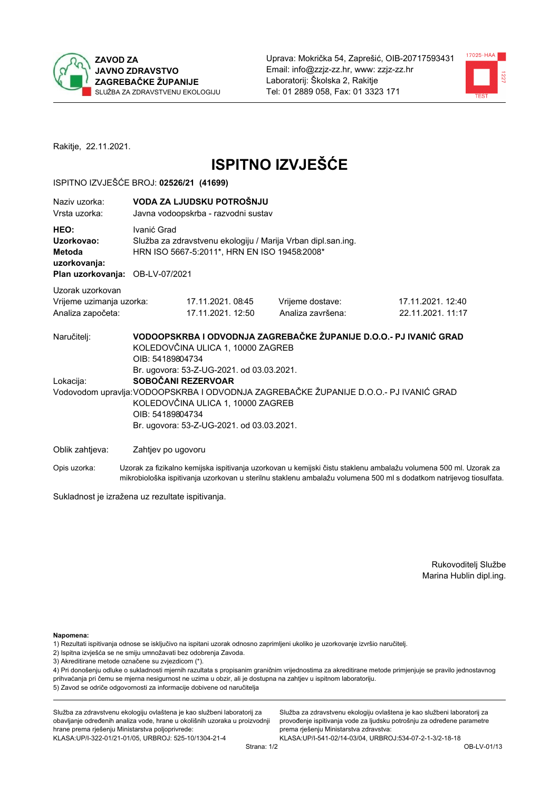



Rakitje, 22.11.2021.

# **ISPITNO IZVJEŠĆE**

#### ISPITNO IZVJEŠĆE BROJ: 02526/21 (41699)

| Naziv uzorka:<br>Vrsta uzorka:                                                                                                                                                                                                 |  | VODA ZA LJUDSKU POTROŠNJU<br>Javna vodoopskrba - razvodni sustav                                                            |                                                                   |                                                                                                                  |  |  |  |
|--------------------------------------------------------------------------------------------------------------------------------------------------------------------------------------------------------------------------------|--|-----------------------------------------------------------------------------------------------------------------------------|-------------------------------------------------------------------|------------------------------------------------------------------------------------------------------------------|--|--|--|
| HEO:<br>Uzorkovao:<br>Metoda<br>uzorkovanja:<br>Plan uzorkovanja: OB-LV-07/2021                                                                                                                                                |  | Ivanić Grad<br>Služba za zdravstvenu ekologiju / Marija Vrban dipl.san.ing.<br>HRN ISO 5667-5:2011*, HRN EN ISO 19458:2008* |                                                                   |                                                                                                                  |  |  |  |
| Uzorak uzorkovan                                                                                                                                                                                                               |  |                                                                                                                             |                                                                   |                                                                                                                  |  |  |  |
| Vrijeme uzimanja uzorka:<br>Analiza započeta:                                                                                                                                                                                  |  | 17.11.2021.08:45<br>17.11.2021. 12:50                                                                                       | Vrijeme dostave:<br>Analiza završena:                             | 17.11.2021. 12:40<br>22.11.2021. 11:17                                                                           |  |  |  |
| Naručitelj:                                                                                                                                                                                                                    |  | KOLEDOVČINA ULICA 1, 10000 ZAGREB<br>OIB: 54189804734<br>Br. ugovora: 53-Z-UG-2021. od 03.03.2021.                          | VODOOPSKRBA I ODVODNJA ZAGREBAČKE ŽUPANIJE D.O.O.- PJ IVANIĆ GRAD |                                                                                                                  |  |  |  |
| SOBOČANI REZERVOAR<br>Lokacija:<br>Vodovodom upravlja: VODOOPSKRBA I ODVODNJA ZAGREBAČKE ŽUPANIJE D.O.O.- PJ IVANIĆ GRAD<br>KOLEDOVČINA ULICA 1, 10000 ZAGREB<br>OIB: 54189804734<br>Br. ugovora: 53-Z-UG-2021. od 03.03.2021. |  |                                                                                                                             |                                                                   |                                                                                                                  |  |  |  |
| Oblik zahtjeva:                                                                                                                                                                                                                |  | Zahtjev po ugovoru                                                                                                          |                                                                   |                                                                                                                  |  |  |  |
| Opis uzorka:                                                                                                                                                                                                                   |  |                                                                                                                             |                                                                   | Uzorak za fizikalno kemijska ispitivanja uzorkovan u kemijski čistu staklenu ambalažu volumena 500 ml. Uzorak za |  |  |  |

Sukladnost je izražena uz rezultate ispitivanja.

Rukovoditelj Službe Marina Hublin dipl.ing.

Napomena:

- 1) Rezultati ispitivanja odnose se isključivo na ispitani uzorak odnosno zaprimljeni ukoliko je uzorkovanje izvršio naručitelj.
- 2) Ispitna izvješća se ne smiju umnožavati bez odobrenja Zavoda.
- 3) Akreditirane metode označene su zvjezdicom (\*).

4) Pri donošenju odluke o sukladnosti mjernih razultata s propisanim graničnim vrijednostima za akreditirane metode primjenjuje se pravilo jednostavnog prihvaćanja pri čemu se mjerna nesigurnost ne uzima u obzir, ali je dostupna na zahtjev u ispitnom laboratoriju. 5) Zavod se odriče odgovornosti za informacije dobivene od naručitelja

mikrobiološka ispitivanja uzorkovan u sterilnu staklenu ambalažu volumena 500 ml s dodatkom natrijevog tiosulfata.

Služba za zdravstvenu ekologiju ovlaštena je kao službeni laboratorij za obavljanje određenih analiza vode, hrane u okolišnih uzoraka u proizvodnji hrane prema rješenju Ministarstva poljoprivrede: KLASA.UP/I-322-01/21-01/05, URBROJ: 525-10/1304-21-4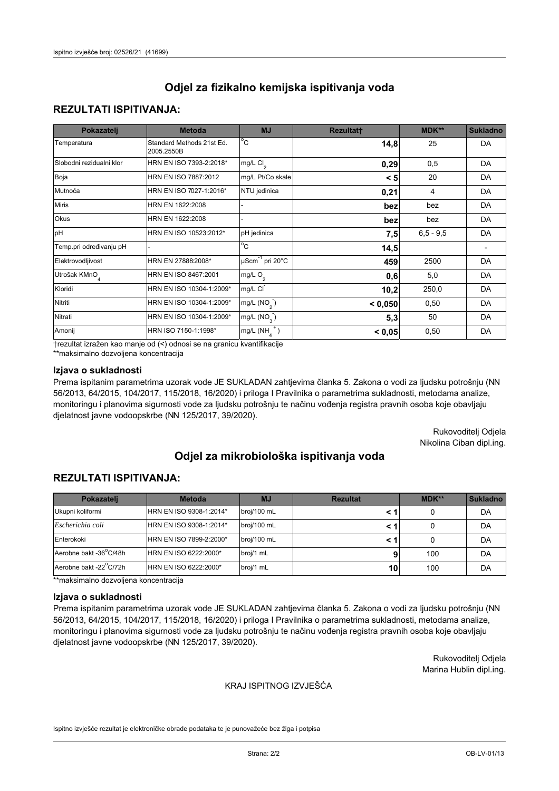## **REZULTATI ISPITIVANJA:**

| Pokazatelj                | <b>Metoda</b>                           | <b>MJ</b>                        | <b>Rezultatt</b> | MDK**       | <b>Sukladno</b> |
|---------------------------|-----------------------------------------|----------------------------------|------------------|-------------|-----------------|
| Temperatura               | Standard Methods 21st Ed.<br>2005.2550B | $^{\circ}$ C                     | 14,8             | 25          | DA              |
| Slobodni rezidualni klor  | HRN EN ISO 7393-2:2018*                 | mg/L $Cl2$                       | 0,29             | 0,5         | DA              |
| Boja                      | HRN EN ISO 7887:2012                    | mg/L Pt/Co skale                 | < 5              | 20          | DA              |
| Mutnoća                   | HRN EN ISO 7027-1:2016*                 | NTU jedinica                     | 0,21             | 4           | DA              |
| <b>Miris</b>              | HRN EN 1622:2008                        |                                  | bez              | bez         | DA              |
| Okus                      | HRN EN 1622:2008                        |                                  | bez              | bez         | DA              |
| pH                        | HRN EN ISO 10523:2012*                  | pH jedinica                      | 7,5              | $6,5 - 9,5$ | DA              |
| Temp.pri određivanju pH   |                                         | $\overline{c}$                   | 14,5             |             |                 |
| Elektrovodljivost         | HRN EN 27888:2008*                      | $\mu$ Scm <sup>-1</sup> pri 20°C | 459              | 2500        | DA              |
| Utrošak KMnO <sub>4</sub> | HRN EN ISO 8467:2001                    | mg/L O <sub>2</sub>              | 0,6              | 5,0         | DA              |
| Kloridi                   | HRN EN ISO 10304-1:2009*                | mg/L CI                          | 10,2             | 250,0       | DA              |
| Nitriti                   | HRN EN ISO 10304-1:2009*                | mg/L $(NO2)$                     | < 0,050          | 0,50        | DA              |
| Nitrati                   | HRN EN ISO 10304-1:2009*                | mg/L (NO <sub>3</sub> )          | 5,3              | 50          | DA              |
| Amonij                    | HRN ISO 7150-1:1998*                    | $mg/L(NH_A^+)$                   | < 0,05           | 0,50        | DA              |

trezultat izražen kao manje od (<) odnosi se na granicu kvantifikacije

\*\*maksimalno dozvoljena koncentracija

## Izjava o sukladnosti

Prema ispitanim parametrima uzorak vode JE SUKLADAN zahtjevima članka 5. Zakona o vodi za ljudsku potrošnju (NN 56/2013, 64/2015, 104/2017, 115/2018, 16/2020) i priloga I Pravilnika o parametrima sukladnosti, metodama analize, monitoringu i planovima sigurnosti vode za ljudsku potrošnju te načinu vođenja registra pravnih osoba koje obavljaju djelatnost javne vodoopskrbe (NN 125/2017, 39/2020).

> Rukovoditelj Odjela Nikolina Ciban dipl.ing.

# Odjel za mikrobiološka ispitivanja voda

## **REZULTATI ISPITIVANJA:**

| Pokazateli             | <b>Metoda</b>           | <b>MJ</b>   | <b>Rezultat</b> | MDK** | <b>Sukladno</b> |
|------------------------|-------------------------|-------------|-----------------|-------|-----------------|
| Ukupni koliformi       | HRN EN ISO 9308-1:2014* | broj/100 mL |                 |       | DA              |
| Escherichia coli       | HRN EN ISO 9308-1:2014* | broj/100 mL |                 |       | DA              |
| Enterokoki             | HRN EN ISO 7899-2:2000* | broj/100 mL |                 |       | DA              |
| Aerobne bakt -36°C/48h | HRN EN ISO 6222:2000*   | broj/1 mL   |                 | 100   | DA              |
| Aerobne bakt -22°C/72h | HRN EN ISO 6222:2000*   | broj/1 mL   | 10              | 100   | DA              |

\*\*maksimalno dozvoljena koncentracija

#### Izjava o sukladnosti

Prema ispitanim parametrima uzorak vode JE SUKLADAN zahtjevima članka 5. Zakona o vodi za ljudsku potrošnju (NN 56/2013, 64/2015, 104/2017, 115/2018, 16/2020) i priloga I Pravilnika o parametrima sukladnosti, metodama analize, monitoringu i planovima sigurnosti vode za ljudsku potrošnju te načinu vođenja registra pravnih osoba koje obavljaju djelatnost javne vodoopskrbe (NN 125/2017, 39/2020).

> Rukovoditelj Odjela Marina Hublin dipl.ing.

#### KRAJ ISPITNOG IZVJEŠĆA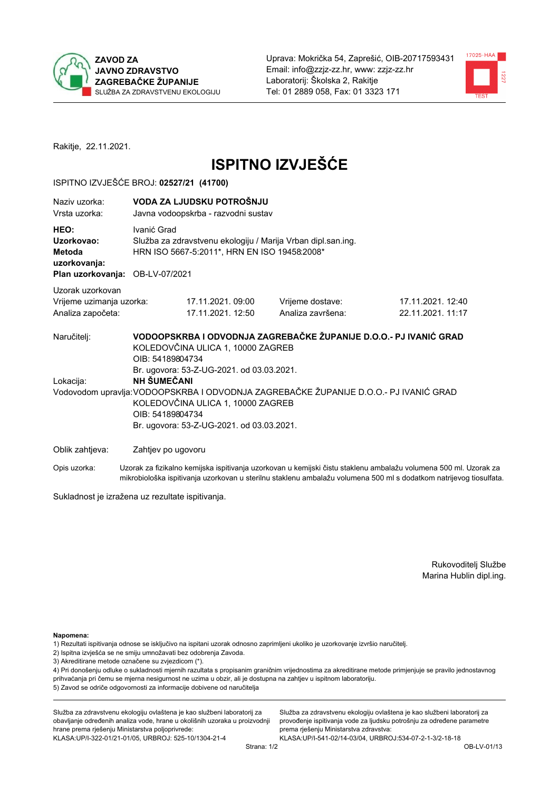



Rakitje, 22.11.2021.

# **ISPITNO IZVJEŠĆE**

#### ISPITNO IZVJEŠĆE BROJ: 02527/21 (41700)

| Naziv uzorka:<br>Vrsta uzorka:                                                  | VODA ZA LJUDSKU POTROŠNJU<br>Javna vodoopskrba - razvodni sustav                                                                                                                                                                                                                                                                                                                      |                                       |                                                                                                                  |  |  |  |  |  |
|---------------------------------------------------------------------------------|---------------------------------------------------------------------------------------------------------------------------------------------------------------------------------------------------------------------------------------------------------------------------------------------------------------------------------------------------------------------------------------|---------------------------------------|------------------------------------------------------------------------------------------------------------------|--|--|--|--|--|
| HEO:<br>Uzorkovao:<br>Metoda<br>uzorkovanja:<br>Plan uzorkovanja: OB-LV-07/2021 | Ivanić Grad<br>Služba za zdravstvenu ekologiju / Marija Vrban dipl.san.ing.<br>HRN ISO 5667-5:2011*, HRN EN ISO 19458:2008*                                                                                                                                                                                                                                                           |                                       |                                                                                                                  |  |  |  |  |  |
| Uzorak uzorkovan<br>Vrijeme uzimanja uzorka:<br>Analiza započeta:               | 17.11.2021.09:00<br>17.11.2021. 12:50                                                                                                                                                                                                                                                                                                                                                 | Vrijeme dostave:<br>Analiza završena: | 17.11.2021. 12:40<br>22.11.2021. 11:17                                                                           |  |  |  |  |  |
| Naručitelj:<br>Lokacija:                                                        | VODOOPSKRBA I ODVODNJA ZAGREBAČKE ŽUPANIJE D.O.O.- PJ IVANIĆ GRAD<br>KOLEDOVČINA ULICA 1, 10000 ZAGREB<br>OIB: 54189804734<br>Br. ugovora: 53-Z-UG-2021. od 03.03.2021.<br>NH SUMECANI<br>Vodovodom upravlja: VODOOPSKRBA I ODVODNJA ZAGREBAČKE ŽUPANIJE D.O.O.- PJ IVANIĆ GRAD<br>KOLEDOVČINA ULICA 1, 10000 ZAGREB<br>OIB: 54189804734<br>Br. ugovora: 53-Z-UG-2021. od 03.03.2021. |                                       |                                                                                                                  |  |  |  |  |  |
| Oblik zahtjeva:                                                                 | Zahtjev po ugovoru                                                                                                                                                                                                                                                                                                                                                                    |                                       |                                                                                                                  |  |  |  |  |  |
| Opis uzorka:                                                                    |                                                                                                                                                                                                                                                                                                                                                                                       |                                       | Uzorak za fizikalno kemijska ispitivanja uzorkovan u kemijski čistu staklenu ambalažu volumena 500 ml. Uzorak za |  |  |  |  |  |

mikrobiološka ispitivanja uzorkovan u sterilnu staklenu ambalažu volumena 500 ml s dodatkom natrijevog tiosulfata.

Sukladnost je izražena uz rezultate ispitivanja.

Rukovoditelj Službe Marina Hublin dipl.ing.

Napomena:

- 1) Rezultati ispitivanja odnose se isključivo na ispitani uzorak odnosno zaprimljeni ukoliko je uzorkovanje izvršio naručitelj.
- 2) Ispitna izvješća se ne smiju umnožavati bez odobrenja Zavoda.
- 3) Akreditirane metode označene su zvjezdicom (\*).

4) Pri donošenju odluke o sukladnosti mjernih razultata s propisanim graničnim vrijednostima za akreditirane metode primjenjuje se pravilo jednostavnog prihvaćanja pri čemu se mjerna nesigurnost ne uzima u obzir, ali je dostupna na zahtjev u ispitnom laboratoriju. 5) Zavod se odriče odgovornosti za informacije dobivene od naručitelja

Služba za zdravstvenu ekologiju ovlaštena je kao službeni laboratorij za obavljanje određenih analiza vode, hrane u okolišnih uzoraka u proizvodnji hrane prema rješenju Ministarstva poljoprivrede: KLASA.UP/I-322-01/21-01/05, URBROJ: 525-10/1304-21-4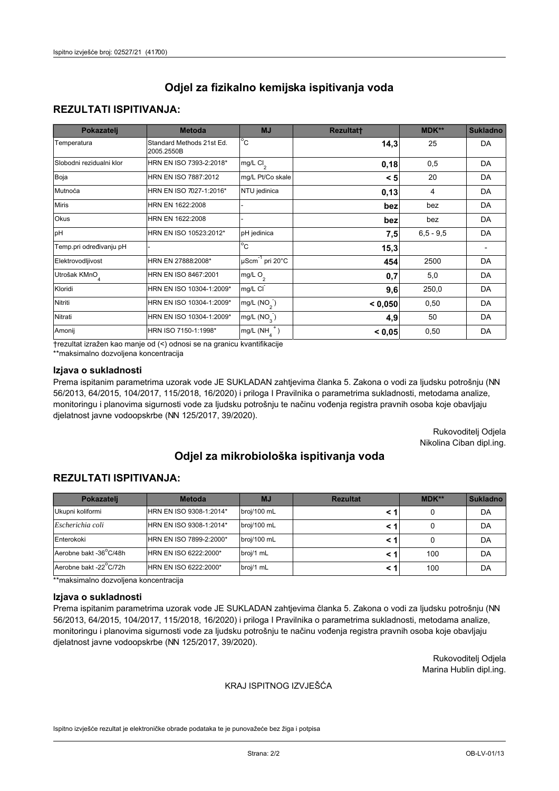## **REZULTATI ISPITIVANJA:**

| Pokazatelj                | <b>Metoda</b>                           | <b>MJ</b>                                | <b>Rezultatt</b> | <b>MDK**</b> | <b>Sukladno</b> |
|---------------------------|-----------------------------------------|------------------------------------------|------------------|--------------|-----------------|
| Temperatura               | Standard Methods 21st Ed.<br>2005.2550B | $\overline{C}$                           | 14,3             | 25           | DA              |
| Slobodni rezidualni klor  | HRN EN ISO 7393-2:2018*                 | $\overline{\text{mg/L}}$ Cl <sub>2</sub> | 0,18             | 0,5          | DA              |
| Boja                      | HRN EN ISO 7887:2012                    | mg/L Pt/Co skale                         | < 5              | 20           | DA              |
| Mutnoća                   | HRN EN ISO 7027-1:2016*                 | NTU jedinica                             | 0,13             | 4            | DA              |
| <b>Miris</b>              | HRN EN 1622:2008                        |                                          | bez              | bez          | DA              |
| Okus                      | HRN EN 1622:2008                        |                                          | bez              | bez          | DA              |
| pH                        | HRN EN ISO 10523:2012*                  | pH jedinica                              | 7,5              | $6.5 - 9.5$  | DA              |
| Temp.pri određivanju pH   |                                         | $\overline{c}$                           | 15,3             |              |                 |
| Elektrovodljivost         | HRN EN 27888:2008*                      | $\mu$ Scm <sup>-1</sup> pri 20°C         | 454              | 2500         | DA              |
| Utrošak KMnO <sub>4</sub> | HRN EN ISO 8467:2001                    | mg/L $O_2$                               | 0,7              | 5,0          | DA              |
| Kloridi                   | HRN EN ISO 10304-1:2009*                | mg/L CI                                  | 9,6              | 250,0        | DA              |
| Nitriti                   | HRN EN ISO 10304-1:2009*                | mg/L $(NO2)$                             | < 0.050          | 0,50         | DA              |
| Nitrati                   | HRN EN ISO 10304-1:2009*                | mg/L $(NO3)$                             | 4,9              | 50           | DA              |
| Amonij                    | HRN ISO 7150-1:1998*                    | mg/L $(NH_{\lambda}^{\dagger})$          | < 0,05           | 0,50         | DA              |

trezultat izražen kao manje od (<) odnosi se na granicu kvantifikacije

\*\*maksimalno dozvoljena koncentracija

## Izjava o sukladnosti

Prema ispitanim parametrima uzorak vode JE SUKLADAN zahtjevima članka 5. Zakona o vodi za ljudsku potrošnju (NN 56/2013, 64/2015, 104/2017, 115/2018, 16/2020) i priloga I Pravilnika o parametrima sukladnosti, metodama analize, monitoringu i planovima sigurnosti vode za ljudsku potrošnju te načinu vođenja registra pravnih osoba koje obavljaju djelatnost javne vodoopskrbe (NN 125/2017, 39/2020).

> Rukovoditelj Odjela Nikolina Ciban dipl.ing.

# Odjel za mikrobiološka ispitivanja voda

## **REZULTATI ISPITIVANJA:**

| Pokazatelj             | <b>Metoda</b>           | <b>MJ</b>   | <b>Rezultat</b> | $MDK**$ | <b>Sukladno</b> |
|------------------------|-------------------------|-------------|-----------------|---------|-----------------|
| Ukupni koliformi       | HRN EN ISO 9308-1:2014* | broj/100 mL |                 |         | DA              |
| Escherichia coli       | HRN EN ISO 9308-1:2014* | broj/100 mL |                 |         | DA              |
| Enterokoki             | HRN EN ISO 7899-2:2000* | broj/100 mL |                 |         | DA              |
| Aerobne bakt -36°C/48h | HRN EN ISO 6222:2000*   | broj/1 mL   |                 | 100     | DA              |
| Aerobne bakt -22°C/72h | HRN EN ISO 6222:2000*   | broj/1 mL   |                 | 100     | DA              |

\*\*maksimalno dozvoljena koncentracija

#### Izjava o sukladnosti

Prema ispitanim parametrima uzorak vode JE SUKLADAN zahtjevima članka 5. Zakona o vodi za ljudsku potrošnju (NN 56/2013, 64/2015, 104/2017, 115/2018, 16/2020) i priloga I Pravilnika o parametrima sukladnosti, metodama analize, monitoringu i planovima sigurnosti vode za ljudsku potrošnju te načinu vođenja registra pravnih osoba koje obavljaju djelatnost javne vodoopskrbe (NN 125/2017, 39/2020).

> Rukovoditelj Odjela Marina Hublin dipl.ing.

#### KRAJ ISPITNOG IZVJEŠĆA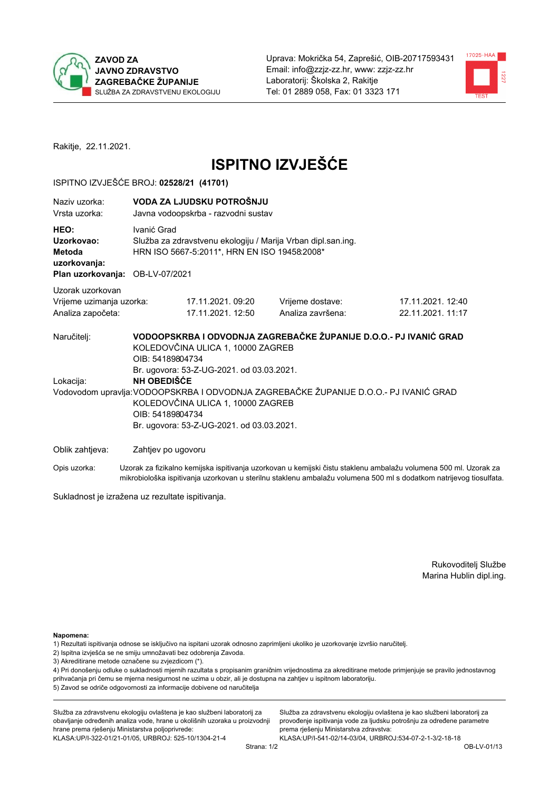



Rakitje, 22.11.2021.

# **ISPITNO IZVJEŠĆE**

### ISPITNO IZVJEŠĆE BROJ: 02528/21 (41701)

| Naziy uzorka:<br>Vrsta uzorka:                                                  | VODA ZA LJUDSKU POTROŠNJU<br>Javna vodoopskrba - razvodni sustav                                                                                                                                                                                                                                                                                                                             |                   |                                                                                                                  |  |  |  |  |  |
|---------------------------------------------------------------------------------|----------------------------------------------------------------------------------------------------------------------------------------------------------------------------------------------------------------------------------------------------------------------------------------------------------------------------------------------------------------------------------------------|-------------------|------------------------------------------------------------------------------------------------------------------|--|--|--|--|--|
| HEO:<br>Uzorkovao:<br>Metoda<br>uzorkovanja:<br>Plan uzorkovanja: OB-LV-07/2021 | Ivanić Grad<br>Služba za zdravstvenu ekologiju / Marija Vrban dipl.san.ing.<br>HRN ISO 5667-5:2011*, HRN EN ISO 19458:2008*                                                                                                                                                                                                                                                                  |                   |                                                                                                                  |  |  |  |  |  |
| Uzorak uzorkovan                                                                |                                                                                                                                                                                                                                                                                                                                                                                              |                   |                                                                                                                  |  |  |  |  |  |
| Vrijeme uzimanja uzorka:                                                        | 17.11.2021.09:20                                                                                                                                                                                                                                                                                                                                                                             | Vrijeme dostave:  | 17.11.2021. 12:40                                                                                                |  |  |  |  |  |
| Analiza započeta:                                                               | 17.11.2021. 12:50                                                                                                                                                                                                                                                                                                                                                                            | Analiza završena: | 22.11.2021.11:17                                                                                                 |  |  |  |  |  |
| Naručitelj:<br>Lokacija:                                                        | VODOOPSKRBA I ODVODNJA ZAGREBAČKE ŽUPANIJE D.O.O.- PJ IVANIĆ GRAD<br>KOLEDOVČINA ULICA 1, 10000 ZAGREB<br>OIB: 54189804734<br>Br. ugovora: 53-Z-UG-2021. od 03.03.2021.<br><b>NH OBEDIŠĆE</b><br>Vodovodom upravlja: VODOOPSKRBA I ODVODNJA ZAGREBAČKE ŽUPANIJE D.O.O.- PJ IVANIĆ GRAD<br>KOLEDOVČINA ULICA 1, 10000 ZAGREB<br>OIB: 54189804734<br>Br. ugovora: 53-Z-UG-2021. od 03.03.2021. |                   |                                                                                                                  |  |  |  |  |  |
| Oblik zahtjeva:                                                                 | Zahtjev po ugovoru                                                                                                                                                                                                                                                                                                                                                                           |                   |                                                                                                                  |  |  |  |  |  |
| Opis uzorka:                                                                    |                                                                                                                                                                                                                                                                                                                                                                                              |                   | Uzorak za fizikalno kemijska ispitivanja uzorkovan u kemijski čistu staklenu ambalažu volumena 500 ml. Uzorak za |  |  |  |  |  |

mikrobiološka ispitivanja uzorkovan u sterilnu staklenu ambalažu volumena 500 ml s dodatkom natrijevog tiosulfata. Sukladnost je izražena uz rezultate ispitivanja.

> Rukovoditelj Službe Marina Hublin dipl.ing.

Napomena:

1) Rezultati ispitivanja odnose se isključivo na ispitani uzorak odnosno zaprimljeni ukoliko je uzorkovanje izvršio naručitelj.

- 2) Ispitna izvješća se ne smiju umnožavati bez odobrenja Zavoda.
- 3) Akreditirane metode označene su zvjezdicom (\*).

4) Pri donošenju odluke o sukladnosti mjernih razultata s propisanim graničnim vrijednostima za akreditirane metode primjenjuje se pravilo jednostavnog prihvaćanja pri čemu se mjerna nesigurnost ne uzima u obzir, ali je dostupna na zahtjev u ispitnom laboratoriju. 5) Zavod se odriče odgovornosti za informacije dobivene od naručitelja

Služba za zdravstvenu ekologiju ovlaštena je kao službeni laboratorij za obavljanje određenih analiza vode, hrane u okolišnih uzoraka u proizvodnji hrane prema rješenju Ministarstva poljoprivrede: KLASA.UP/I-322-01/21-01/05, URBROJ: 525-10/1304-21-4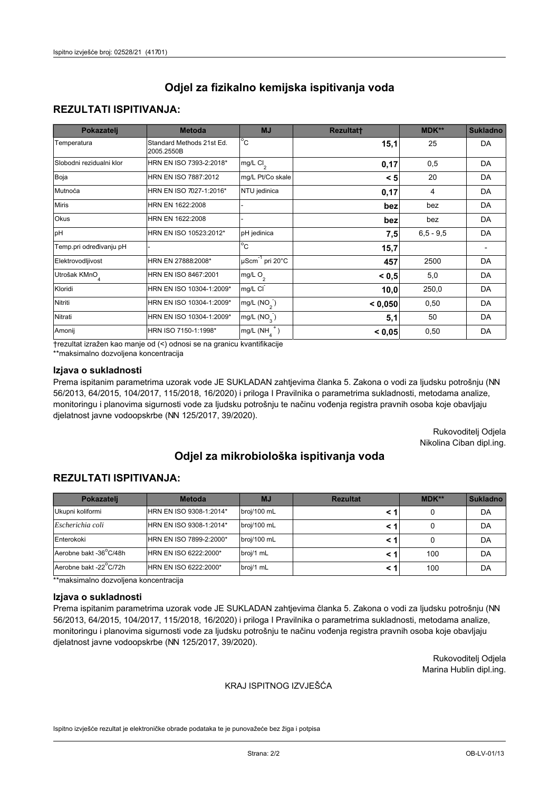## **REZULTATI ISPITIVANJA:**

| Pokazatelj                | <b>Metoda</b>                           | <b>MJ</b>                        | <b>Rezultatt</b> | MDK**       | <b>Sukladno</b> |
|---------------------------|-----------------------------------------|----------------------------------|------------------|-------------|-----------------|
| Temperatura               | Standard Methods 21st Ed.<br>2005.2550B | $\overline{^{\circ}C}$           | 15,1             | 25          | DA              |
| Slobodni rezidualni klor  | HRN EN ISO 7393-2:2018*                 | mg/L $Cl2$                       | 0,17             | 0,5         | DA              |
| Boja                      | HRN EN ISO 7887:2012                    | mg/L Pt/Co skale                 | < 5              | 20          | DA              |
| Mutnoća                   | HRN EN ISO 7027-1:2016*                 | NTU jedinica                     | 0,17             | 4           | DA              |
| <b>Miris</b>              | HRN EN 1622:2008                        |                                  | bez              | bez         | DA              |
| Okus                      | HRN EN 1622:2008                        |                                  | bez              | bez         | DA              |
| pH                        | HRN EN ISO 10523:2012*                  | pH jedinica                      | 7,5              | $6.5 - 9.5$ | DA              |
| Temp.pri određivanju pH   |                                         | $\rm ^{\circ}c$                  | 15,7             |             |                 |
| Elektrovodljivost         | HRN EN 27888:2008*                      | $\mu$ Scm <sup>-1</sup> pri 20°C | 457              | 2500        | DA              |
| Utrošak KMnO <sub>4</sub> | HRN EN ISO 8467:2001                    | mg/L $O_2$                       | < 0.5            | 5,0         | DA              |
| Kloridi                   | HRN EN ISO 10304-1:2009*                | mg/L CI                          | 10,0             | 250,0       | DA              |
| Nitriti                   | HRN EN ISO 10304-1:2009*                | mg/L (NO <sub>2</sub> )          | < 0,050          | 0,50        | DA              |
| Nitrati                   | HRN EN ISO 10304-1:2009*                | mg/L (NO <sub>2</sub> )          | 5,1              | 50          | DA              |
| Amonij                    | HRN ISO 7150-1:1998*                    | $mg/L(NH_A^+)$                   | < 0,05           | 0,50        | DA              |

trezultat izražen kao manje od (<) odnosi se na granicu kvantifikacije

\*\*maksimalno dozvoljena koncentracija

## Izjava o sukladnosti

Prema ispitanim parametrima uzorak vode JE SUKLADAN zahtjevima članka 5. Zakona o vodi za ljudsku potrošnju (NN 56/2013, 64/2015, 104/2017, 115/2018, 16/2020) i priloga I Pravilnika o parametrima sukladnosti, metodama analize, monitoringu i planovima sigurnosti vode za ljudsku potrošnju te načinu vođenja registra pravnih osoba koje obavljaju djelatnost javne vodoopskrbe (NN 125/2017, 39/2020).

> Rukovoditelj Odjela Nikolina Ciban dipl.ing.

# Odjel za mikrobiološka ispitivanja voda

## **REZULTATI ISPITIVANJA:**

| Pokazateli             | <b>Metoda</b>           | <b>MJ</b>   | <b>Rezultat</b> | $MDK**$ | <b>Sukladno</b> |
|------------------------|-------------------------|-------------|-----------------|---------|-----------------|
| Ukupni koliformi       | HRN EN ISO 9308-1:2014* | broj/100 mL |                 |         | DA              |
| Escherichia coli       | HRN EN ISO 9308-1:2014* | broj/100 mL |                 |         | DA              |
| Enterokoki             | HRN EN ISO 7899-2:2000* | broj/100 mL |                 |         | DA              |
| Aerobne bakt -36 C/48h | HRN EN ISO 6222:2000*   | broj/1 mL   |                 | 100     | DA              |
| Aerobne bakt -22 C/72h | HRN EN ISO 6222:2000*   | broj/1 mL   |                 | 100     | DA              |

\*\*maksimalno dozvoljena koncentracija

#### Izjava o sukladnosti

Prema ispitanim parametrima uzorak vode JE SUKLADAN zahtjevima članka 5. Zakona o vodi za ljudsku potrošnju (NN 56/2013, 64/2015, 104/2017, 115/2018, 16/2020) i priloga I Pravilnika o parametrima sukladnosti, metodama analize, monitoringu i planovima sigurnosti vode za ljudsku potrošnju te načinu vođenja registra pravnih osoba koje obavljaju djelatnost javne vodoopskrbe (NN 125/2017, 39/2020).

> Rukovoditelj Odjela Marina Hublin dipl.ing.

#### KRAJ ISPITNOG IZVJEŠĆA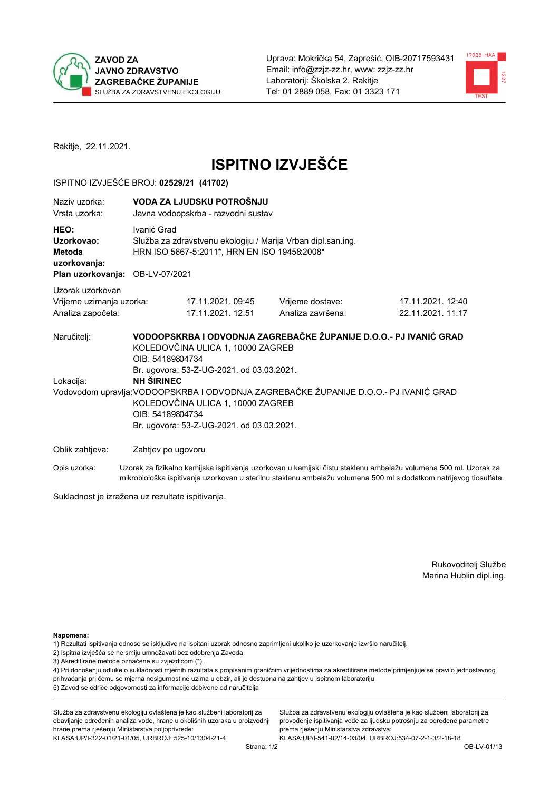



Rakitje, 22.11.2021.

# **ISPITNO IZVJEŠĆE**

#### ISPITNO IZVJEŠĆE BROJ: 02529/21 (41702)

| Naziv uzorka:<br>Vrsta uzorka:                                                  |                                                                                                                                                                         | VODA ZA LJUDSKU POTROŠNJU<br>Javna vodoopskrba - razvodni sustav               |                                                                                                          |                   |  |  |  |
|---------------------------------------------------------------------------------|-------------------------------------------------------------------------------------------------------------------------------------------------------------------------|--------------------------------------------------------------------------------|----------------------------------------------------------------------------------------------------------|-------------------|--|--|--|
| HEO:<br>Uzorkovao:<br>Metoda<br>uzorkovanja:<br>Plan uzorkovanja: OB-LV-07/2021 | Ivanić Grad<br>Služba za zdravstvenu ekologiju / Marija Vrban dipl.san.ing.<br>HRN ISO 5667-5:2011*, HRN EN ISO 19458:2008*                                             |                                                                                |                                                                                                          |                   |  |  |  |
| Uzorak uzorkovan                                                                |                                                                                                                                                                         |                                                                                |                                                                                                          |                   |  |  |  |
| Vrijeme uzimanja uzorka:                                                        |                                                                                                                                                                         | 17.11.2021. 09:45                                                              | Vrijeme dostave:                                                                                         | 17.11.2021. 12:40 |  |  |  |
| Analiza započeta:                                                               |                                                                                                                                                                         | 17.11.2021. 12:51                                                              | Analiza završena:                                                                                        | 22.11.2021.11:17  |  |  |  |
| Naručitelj:                                                                     | VODOOPSKRBA I ODVODNJA ZAGREBAČKE ŽUPANIJE D.O.O.- PJ IVANIĆ GRAD<br>KOLEDOVČINA ULICA 1, 10000 ZAGREB<br>OIB: 54189804734<br>Br. ugovora: 53-Z-UG-2021. od 03.03.2021. |                                                                                |                                                                                                          |                   |  |  |  |
| Lokacija:                                                                       | <b>NH ŠIRINEC</b>                                                                                                                                                       |                                                                                |                                                                                                          |                   |  |  |  |
|                                                                                 | OIB: 54189804734                                                                                                                                                        | KOLEDOVČINA ULICA 1, 10000 ZAGREB<br>Br. ugovora: 53-Z-UG-2021. od 03.03.2021. | Vodovodom upravlja: VODOOPSKRBA I ODVODNJA ZAGREBAČKE ŽUPANIJE D.O.O.- PJ IVANIĆ GRAD                    |                   |  |  |  |
| Oblik zahtjeva:                                                                 | Zahtjev po ugovoru                                                                                                                                                      |                                                                                |                                                                                                          |                   |  |  |  |
| $O_{\mathcal{D}}$ is urgently in the set of $\mathcal{D}$                       |                                                                                                                                                                         |                                                                                | -Uzarok za fizikolna komijeko jenitivanje uzarkovan u komijeki čietu otoklonu amboložu volumena 500 mL U |                   |  |  |  |

Uzorak za fizikalno kemijska ispitivanja uzorkovan u kemijski čistu staklenu ambalažu volumena 500 ml. Uzorak za Opis uzorka: mikrobiološka ispitivanja uzorkovan u sterilnu staklenu ambalažu volumena 500 ml s dodatkom natrijevog tiosulfata.

Sukladnost je izražena uz rezultate ispitivanja.

Rukovoditelj Službe Marina Hublin dipl.ing.

Napomena:

- 1) Rezultati ispitivanja odnose se isključivo na ispitani uzorak odnosno zaprimljeni ukoliko je uzorkovanje izvršio naručitelj.
- 2) Ispitna izvješća se ne smiju umnožavati bez odobrenja Zavoda.
- 3) Akreditirane metode označene su zvjezdicom (\*).

4) Pri donošenju odluke o sukladnosti mjernih razultata s propisanim graničnim vrijednostima za akreditirane metode primjenjuje se pravilo jednostavnog prihvaćanja pri čemu se mjerna nesigurnost ne uzima u obzir, ali je dostupna na zahtjev u ispitnom laboratoriju. 5) Zavod se odriče odgovornosti za informacije dobivene od naručitelja

Služba za zdravstvenu ekologiju ovlaštena je kao službeni laboratorij za obavljanje određenih analiza vode, hrane u okolišnih uzoraka u proizvodnji hrane prema rješenju Ministarstva poljoprivrede: KLASA.UP/I-322-01/21-01/05, URBROJ: 525-10/1304-21-4